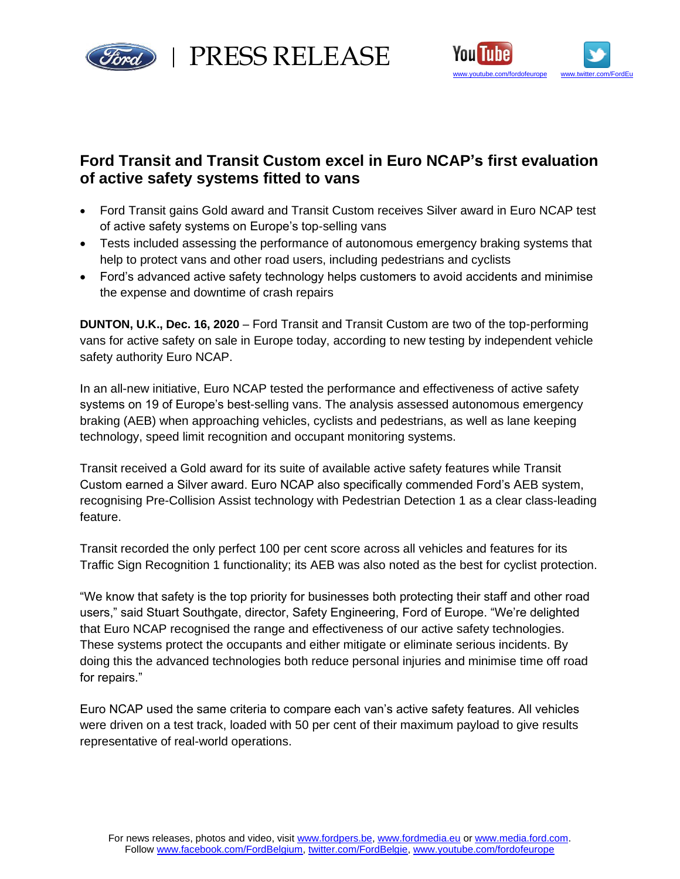

red | PRESS RELEASE



## **Ford Transit and Transit Custom excel in Euro NCAP's first evaluation of active safety systems fitted to vans**

- Ford Transit gains Gold award and Transit Custom receives Silver award in Euro NCAP test of active safety systems on Europe's top-selling vans
- Tests included assessing the performance of autonomous emergency braking systems that help to protect vans and other road users, including pedestrians and cyclists
- Ford's advanced active safety technology helps customers to avoid accidents and minimise the expense and downtime of crash repairs

**DUNTON, U.K., Dec. 16, 2020** – Ford Transit and Transit Custom are two of the top-performing vans for active safety on sale in Europe today, according to new testing by independent vehicle safety authority Euro NCAP.

In an all-new initiative, Euro NCAP tested the performance and effectiveness of active safety systems on 19 of Europe's best-selling vans. The analysis assessed autonomous emergency braking (AEB) when approaching vehicles, cyclists and pedestrians, as well as lane keeping technology, speed limit recognition and occupant monitoring systems.

Transit received a Gold award for its suite of available active safety features while Transit Custom earned a Silver award. Euro NCAP also specifically commended Ford's AEB system, recognising Pre-Collision Assist technology with Pedestrian Detection 1 as a clear class-leading feature.

Transit recorded the only perfect 100 per cent score across all vehicles and features for its Traffic Sign Recognition 1 functionality; its AEB was also noted as the best for cyclist protection.

"We know that safety is the top priority for businesses both protecting their staff and other road users," said Stuart Southgate, director, Safety Engineering, Ford of Europe. "We're delighted that Euro NCAP recognised the range and effectiveness of our active safety technologies. These systems protect the occupants and either mitigate or eliminate serious incidents. By doing this the advanced technologies both reduce personal injuries and minimise time off road for repairs."

Euro NCAP used the same criteria to compare each van's active safety features. All vehicles were driven on a test track, loaded with 50 per cent of their maximum payload to give results representative of real-world operations.